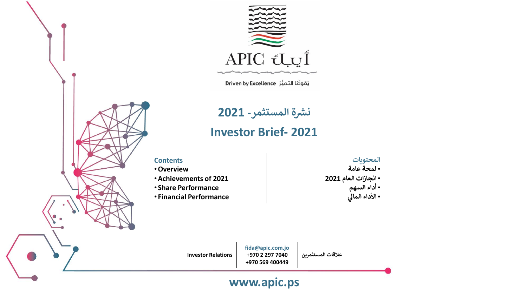

يَقودُنا التميُّز Driven by Excellence

**شة المستثمر ن - 2021 ر**

# **Investor Brief- 2021**

#### **Contents**

- •**Overview**
- •**Achievements of 2021**
- **Share Performance**
- **Financial Performance**

**المحتويات** •**لمحة عامة** •**انجازات العام 2021** •**أداء السهم** • الأداء المالي<br>•

**Investor Relations**

**عالقات المستثمرين +970 2 297 7040 +970 569 400449**

# **www.apic.ps**

**fida@apic.com.jo**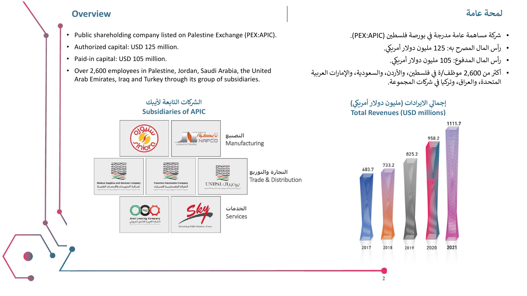### **لمحة عامة Overview**

- Public shareholding company listed on Palestine Exchange (PEX:APIC).
- Authorized capital: USD 125 million.
- Paid-in capital: USD 105 million.
- Over 2,600 employees in Palestine, Jordan, Saudi Arabia, the United Arab Emirates, Iraq and Turkey through its group of subsidiaries.
- شركة مساهمة عامة مدرجة في بورصة فلسطين (PEX:APIC). ي ن
	- رأس المال المصرح به: 125 مليون دولار أمريكي.
		- رأس المال المدفوع: 105 مليون دولار أمريكي.
- أكثر من 2,600 موظف/ة في فلسطين، والأردن، والسعودية، والإمارات العربية ر ي ن المتحدّة، والعراق، وتركيا في شركات المجموعة. ي ن

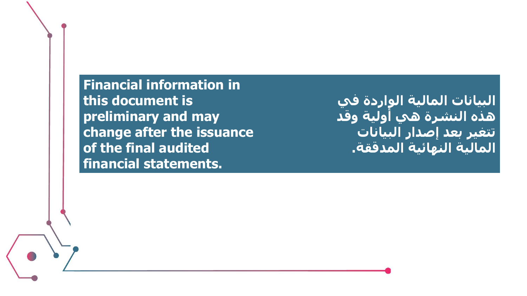**Financial information in this document is preliminary and may change after the issuance of the final audited financial statements.**

**البيانات المالية الواردة في هذه النشرة هي أولية وقد تتغير بعد إصدار البيانات المالية النهائية المدققة.**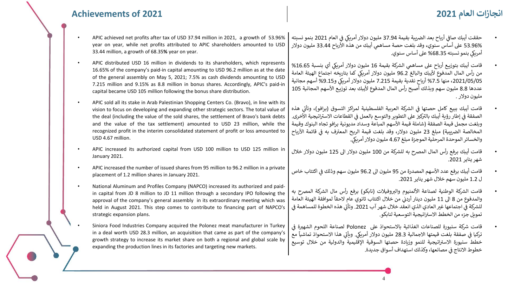## **انجازات العام 2021 2021 of Achievements**

- APIC achieved net profits after tax of USD 37.94 million in 2021, a growth of 53.96% year on year, while net profits attributed to APIC shareholders amounted to USD 33.44 million, a growth of 68.35**%** year on year.
- APIC distributed USD 16 million in dividends to its shareholders, which represents 16.65% of the company's paid-in capital amounting to USD 96.2 million as at the date of the general assembly on May 5, 2021; 7.5% as cash dividends amounting to USD 7.215 million and 9.15% as 8.8 million in bonus shares. Accordingly, APIC's paid-in capital became USD 105 million following the bonus share distribution.
- APIC sold all its stake in Arab Palestinian Shopping Centers Co. (Bravo), in line with its vision to focus on developing and expanding other strategic sectors. The total value of the deal (including the value of the sold shares, the settlement of Bravo's bank debts and the value of the tax settlement) amounted to USD 23 million, while the recognized profit in the interim consolidated statement of profit or loss amounted to USD 4.67 million.
- APIC increased its authorized capital from USD 100 million to USD 125 million in January 2021.
- APIC increased the number of issued shares from 95 million to 96.2 million in a private placement of 1.2 million shares in January 2021.
- National Aluminum and Profiles Company (NAPCO) increased its authorized and paidin capital from JD 8 million to JD 11 million through a secondary IPO following the approval of the company's general assembly in its extraordinary meeting which was held in August 2021. This step comes to contribute to financing part of NAPCO's strategic expansion plans.
- Siniora Food Industries Company acquired the Polonez meat manufacturer in Turkey in a deal worth USD 28.3 million, an acquisition that came as part of the company's growth strategy to increase its market share on both a regional and global scale by expanding the production lines in its factories and targeting new markets.
- حققت أيبك صافي أرباح بعد الضريبة بقيمة 37.94 مليون دولار أمريكي في العام 2021 بنمو نسبته ي ن ن 53.96% على أساس سنوي، وقد بلغت حصة مساهمي أيبك من هذه الأرباح 33.44 مليون دولار أمريكي بنمو نسبته 68.35% على أساس سنوي.
- قامت أيبك بتوزيع أرياح على مساهمي الشركة بقيمة 16 مليون دولار أمريكي أي بنسبة 16.65% من رأس المال المدفوع لأيبك والبالغ 96.2 مليون دولار أمريكي كما بتاريخه اجتماع الهيئة العامة 2021/05/05، منها 7.5% أرباحٍ نقديةٍ بقيمة 7.215 مليونٍ دولار أمريكي و9.15% أسهم مجانية عددها 8.8 مليون سهم وبذلك أصبح رأس المال المدفوع لأيبك بعد توزيع الأسهم المجانية 105 مليون دوالر .
- قامت أيبك ببيع كامل حصتها في الشركة العربية الفلسطينية لمراكز التسوق (برافو)، وتأتي هذه ي ن ي الصفقة <sup>ف</sup> إطار رؤية أيبك <sup>ن</sup> ك ثن بالث عىل التطوير والتوسع بالعمل ف القطاعات اتيجية االسث األخرى. ي ي ن وبلغت مجمل قيمة الصفقة (شاملة قيمة الأسهم المباعة وسداد مديونية برافو تجاه البنوك وقيمة -.<br>المخالصة الصريبية) مبلغ 23 مليون دولار، وقد بلغت قيمة الربح المعترف به في قائمة الأرباح ي ن والخسائر الموحدة المرحلية الموجزة مبلغ 4.67 مليون دولار أمريكي.
- قامت أيبك برفع رأس المال المصرح به للشركة من 100 مليون دولار الى 125 مليون دولار خلال شهر يناير .2021
- قامت أيبك برفع عدد األسهم المصدرة من 95 مليون اىل 96.2 مليون سهم وذلك <sup>ف</sup> اكتتاب خاص <sup>ن</sup> ي ل 1.2 مليون سهم خالل شهر يناير .2021
- قامت الشركة الوطنية لصناعة الألمنيوم والبروفيلات (نابكو) برفع رأس مال الشركة المصرح به حمد مسرك موكية للعرب على المسير المورد وسيرت المبلس بن من مسرك مستركب بالموافقة المستركب.<br>والمدفوع من 8 الى 11 مليون دينار أردني من خلال اكتتاب ثانوي عامٍ لاحقاً لموافقة الهيئة العامة ن سبب عن السلام التي تصريح الذي التاس التي تصريح التي يستمر التي تسم التي التي هذه الخطوة للمساهمة في<br>للشركة في اجتماعها غير العادي الذي انعقد خلال شهر آب 2021. وتأتي هذه الخطوة للمساهمة في ي ن ي ن .<br>تمويل جزء من الخطط الاستراتيجية التوسعية لنابكو.
- قامت شركة سنيورة للصناعات الغذائية بالاستحواذ على Polonez لصناعة اللحوم الشهيرة في ي نحسف مرك مسيرر. مصد حت معتمي بر مسعود على عندادان العصد حسمو المسير. ي<br>تركيا في صفقة بلغت قيمتها الاجمالية 28.3 مليون دولار أمريكي. ويأتي هذا الاستحواذ تماشياً مع ي ن ي ت ـ ـ ـ ـ<br>خطط سنيورة الاستراتيجية للنمو وزيادة حصتها السوقية الإقليمية والدولية من خلال توسيع خطوط الانتاج في مصانعها، وكذلك استهداف أسواق جديدة. ن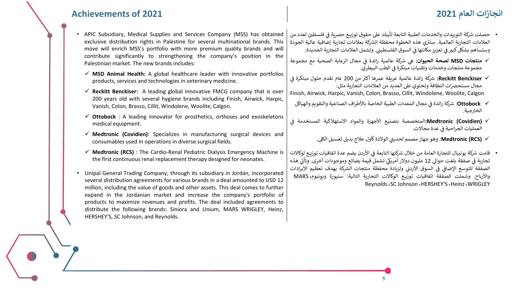## **انجازات العام 2021 2021 of Achievements**

- APIC Subsidiary, Medical Supplies and Services Company (MSS) has obtained exclusive distribution rights in Palestine for several multinational brands. This move will enrich MSS's portfolio with more premium quality brands and will contribute significantly to strengthening the company's position in the Palestinian market. The new brands includes:
	- $\checkmark$  **MSD Animal Health:** A global healthcare leader with innovative portfolios products, services and technologies in veterinary medicine.
	- ✓ **Reckitt Benckiser:** A leading global innovative FMCG company that is over 200 years old with several hygiene brands including Finish, Airwick, Harpic, Vanish, Colon, Brasso, Cillit, Windolene, Woolite, Calgon.
	- ✓ **Ottobock** : A leading innovator for prosthetics, orthoses and exoskeletons medical equipment.
	- ✓ **Medtronic (Covidien)**: Specializes in manufacturing surgical devices and consumables used in operations in diverse surgical fields.
	- ✓ **Medtronic (RCS)** : The Cardio-Renal Pediatric Dialysis Emergency Machine is the first continuous renal replacement therapy designed for neonates.
- Unipal General Trading Company, through its subsidiary in Jordan, incorporated several distribution agreements for various brands in a deal amounted to USD 12 million, including the value of goods and other assets. This deal comes to further expand in the Jordanian market and increase the company's portfolio of products to maximize revenues and profits. The deal included agreements to distribute the following brands: Siniora and Unium, MARS WRIGLEY, Heinz, HERSHEY'S, SC Johnson, and Reynolds.
- حصلت شركة التوريدات والخدمات الطبية التابعة لأيبك على حقوق توزيع حصرية في فلسطين لعدد من ي ن رالعلامات التجارية العالمية. ستثري هذه الخطوة محفظة الشركة بعلامات تجارية إضافية عالية الجودة وستساهم بشكل كبير في تعزيز مكانتها في السوق الفلسطيني. وتشمل العلامات التجارية الجديدة: ن ي ن ن
- ي **√ منتجات MSD لصحة الحيوان:** هي شركة عالمية رائدة في مجال الرعاية الصحية مع مجموعة ن مجموعة منتجات وخدمات وتقنيات مبتكرة ف الطب البيطري. ي ن
- رشكة رائدة عالمية عريقة عمرها **:Reckitt Benckiser** ✓ أكث من 200 عام تقدم حلول مبتكرة ف ر ي ن مجال مستحضرات النظافة وتحتوي على العديد من العلامات التجارية مثل:
- Finish, Airwick, Harpic, Vanish, Colon, Brasso, Cillit, Windolene, Woolite, Calgon
- **√ Ottobock:** شركة رائدة في مجال المعدات الطبية الخاصة بالأطراف الصناعية والتقويم والهياكل ي ن الخارجية.
- ي ✓ **(Covidien (Medtronic:**المتخصصة بتصنيع األجهزة والمواد االستهالكية المستخدمة ف ن العمليات الجراحية ف عدة مجاالت. ي ن
	- ين الوالدةكأول عالج بديل لغسيل الكىل. ✓ **(RCS (Medtronic**: وهو جهاز مصمم لحدي ر
- قامت شركة يونيبال للتجارة العامة من خلال شركتها التابعة في الأردن بضم عدة اتفاقيات توزيع لوكالات ي تجارية في صفقة بلغت حوالي 12 مليون دولار أمريكي تشمل قيمة بضائع وموجودات أخرى. وتأتي هذه ي ن ي الصفقة للتوسع الإضافى فى السوق الأردنى ولزيادة محفظة منتجات الشركة بهدف تعظيم الايرادات ي ن ي ن ي ن والأرياح. وشملت الصفقة اتفاقيات توزيع الوكالات التجارية التالية: سنيورة ويونيوم، MARS Reynolds،SC Johnson ،HERSHEY'S ،Heinz،WRIGLEY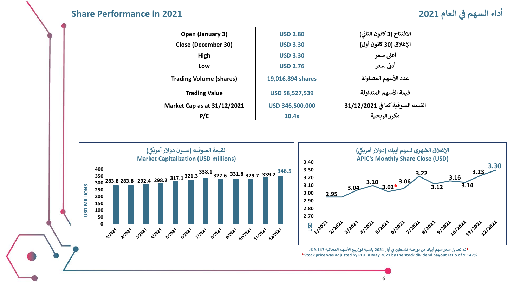### **العام أداء السهم ف 2021 2021 in Performance Share**

#### 

| Open (January 3)               | <b>USD 2.80</b>        | الافتتاح (3 كانون الثاني)        |
|--------------------------------|------------------------|----------------------------------|
| <b>Close (December 30)</b>     | <b>USD 3.30</b>        | الإغلاق (30 كانون أول)           |
| High                           | <b>USD 3.30</b>        | أعلى سعر                         |
| Low                            | <b>USD 2.76</b>        | أدني سعر                         |
| <b>Trading Volume (shares)</b> | 19,016,894 shares      | عدد الأسهم المتداولة             |
| <b>Trading Value</b>           | <b>USD 58,527,539</b>  | قيمة الأسهم المتداولة            |
| Market Cap as at 31/12/2021    | <b>USD 346,500,000</b> | القيمة السوقية كما في 31/12/2021 |
| P/E                            | 10.4x                  | مكرر الربحية                     |
|                                |                        |                                  |



**6**